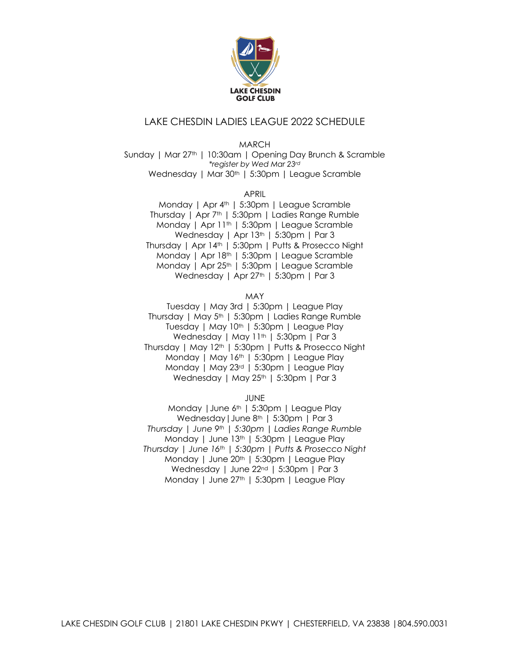

## LAKE CHESDIN LADIES LEAGUE 2022 SCHEDULE

MARCH

Sunday | Mar 27th | 10:30am | Opening Day Brunch & Scramble *\*register by Wed Mar 23rd* Wednesday | Mar 30<sup>th</sup> | 5:30pm | League Scramble

APRIL

Monday | Apr 4<sup>th</sup> | 5:30pm | League Scramble Thursday | Apr 7th | 5:30pm | Ladies Range Rumble Monday | Apr 11<sup>th</sup> | 5:30pm | League Scramble Wednesday | Apr 13<sup>th</sup> | 5:30pm | Par 3 Thursday | Apr 14th | 5:30pm | Putts & Prosecco Night Monday | Apr 18th | 5:30pm | League Scramble Monday | Apr 25<sup>th</sup> | 5:30pm | League Scramble Wednesday | Apr 27<sup>th</sup> | 5:30pm | Par 3

## MAY

Tuesday | May 3rd | 5:30pm | League Play Thursday | May 5<sup>th</sup> | 5:30pm | Ladies Range Rumble Tuesday | May 10<sup>th</sup> | 5:30pm | League Play Wednesday | May 11<sup>th</sup> | 5:30pm | Par 3 Thursday | May 12th | 5:30pm | Putts & Prosecco Night Monday | May 16th | 5:30pm | League Play Monday | May 23rd | 5:30pm | League Play Wednesday | May 25<sup>th</sup> | 5:30pm | Par 3

JUNE

Monday |June 6th | 5:30pm | League Play Wednesday | June 8<sup>th</sup> | 5:30pm | Par 3 *Thursday | June 9th | 5:30pm | Ladies Range Rumble* Monday | June 13th | 5:30pm | League Play *Thursday | June 16th | 5:30pm | Putts & Prosecco Night* Monday | June 20<sup>th</sup> | 5:30pm | League Play Wednesday | June 22<sup>nd</sup> | 5:30pm | Par 3 Monday | June 27<sup>th</sup> | 5:30pm | League Play